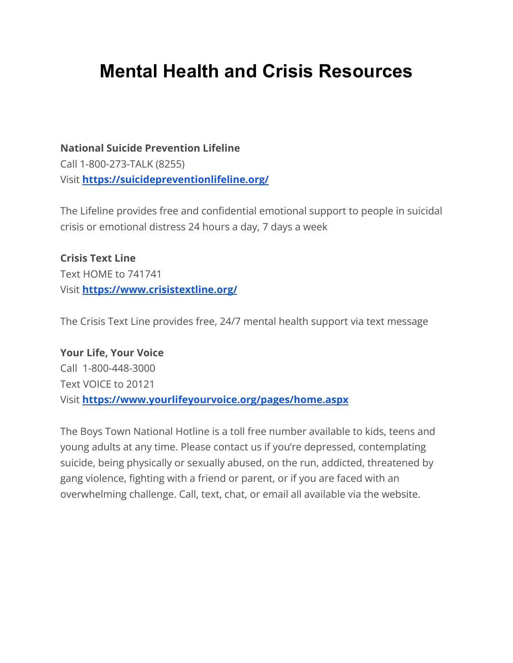# **Mental Health and Crisis Resources**

**[National Suicide Prevention Lifeline](https://www.suicidepreventionlifeline.org/)** Call 1-800-273-TALK (8255) Visit **<https://suicidepreventionlifeline.org/>**

The Lifeline provides free and confidential emotional support to people in suicidal crisis or emotional distress 24 hours a day, 7 days a week

**Crisis Text Line** Text HOME to 741741 Visit **<https://www.crisistextline.org/>**

The Crisis Text Line provides free, 24/7 mental health support via text message

**[Your Life, Your Voice](http://www.yourlifeyourvoice.org/pages/Home.aspx)** Call 1-800-448-3000 Text VOICE to 20121 Visit **<https://www.yourlifeyourvoice.org/pages/home.aspx>**

The Boys Town National Hotline is a toll free number available to kids, teens and young adults at any time. Please contact us if you're depressed, contemplating suicide, being physically or sexually abused, on the run, addicted, threatened by gang violence, fighting with a friend or parent, or if you are faced with an overwhelming challenge. Call, text, chat, or email all available via the website.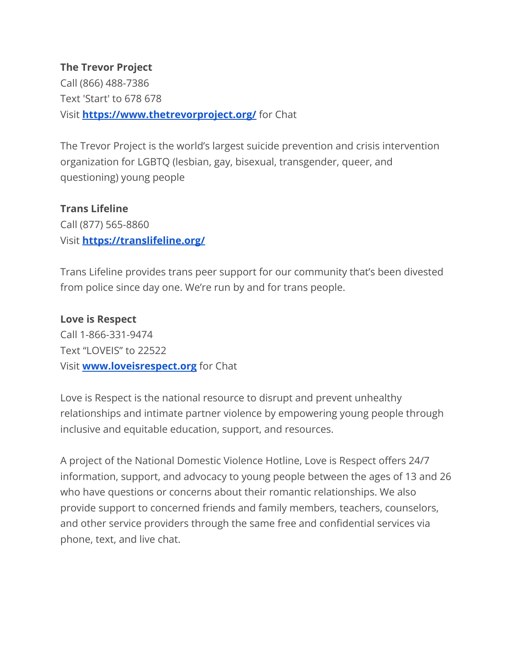#### **The Trevor Project**

Call (866) 488-7386 Text 'Start' to 678 678 Visit **<https://www.thetrevorproject.org/>** for Chat

The Trevor Project is the world's largest suicide prevention and crisis intervention organization for LGBTQ (lesbian, gay, bisexual, transgender, queer, and questioning) young people

#### **Trans Lifeline**

Call (877) 565-8860 Visit **<https://translifeline.org/>**

Trans Lifeline provides trans peer support for our community that's been divested from police since day one. We're run by and for trans people.

#### **Love is Respect**

Call 1-866-331-9474 Text "LOVEIS" to 22522 Visit **[www.loveisrespect.org](http://www.loveisrespect.org)** for Chat

Love is Respect is the national resource to disrupt and prevent unhealthy relationships and intimate partner violence by empowering young people through inclusive and equitable education, support, and resources.

A project of the National Domestic Violence Hotline, Love is Respect offers 24/7 information, support, and advocacy to young people between the ages of 13 and 26 who have questions or concerns about their romantic relationships. We also provide support to concerned friends and family members, teachers, counselors, and other service providers through the same free and confidential services via phone, text, and live chat.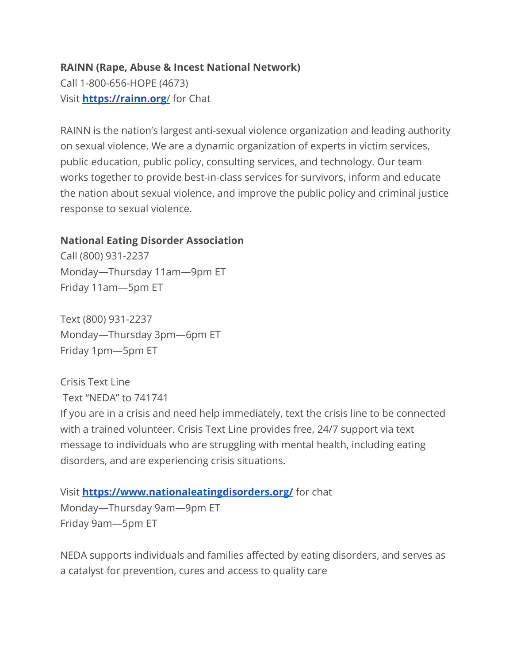#### **RAINN (Rape, Abuse & Incest National Network)**

Call 1-800-656-HOPE (4673) Visit **[https://rainn.org](https://rainn.org/)**/ for Chat

RAINN is the nation's largest anti-sexual violence organization and leading authority on sexual violence. We are a dynamic organization of experts in victim services, public education, public policy, consulting services, and technology. Our team works together to provide best-in-class services for survivors, inform and educate the nation about sexual violence, and improve the public policy and criminal justice response to sexual violence.

#### **National Eating Disorder Association**

Call (800) 931-2237 Monday—Thursday 11am—9pm ET Friday 11am—5pm ET

Text (800) 931-2237 Monday—Thursday 3pm—6pm ET Friday 1pm—5pm ET

Crisis Text Line Text "NEDA" to 741741

If you are in a crisis and need help immediately, text the crisis line to be connected with a trained volunteer. Crisis Text Line provides free, 24/7 support via text message to individuals who are struggling with mental health, including eating disorders, and are experiencing crisis situations.

Visit **<https://www.nationaleatingdisorders.org/>** for chat Monday—Thursday 9am—9pm ET Friday 9am—5pm ET

NEDA supports individuals and families affected by eating disorders, and serves as a catalyst for prevention, cures and access to quality care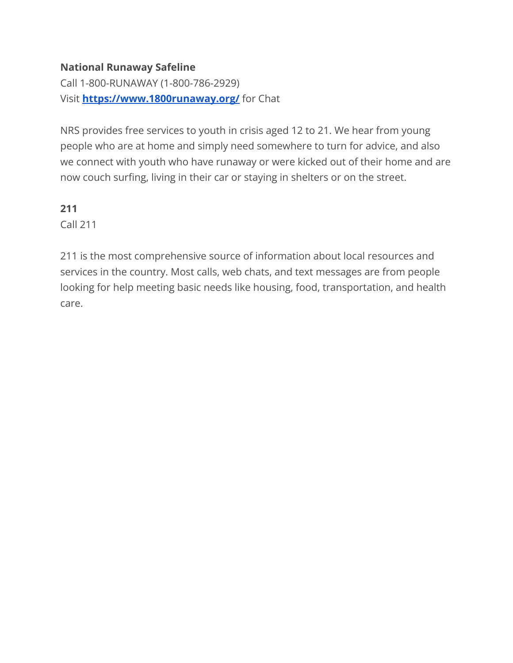## **National Runaway Safeline**

Call 1-800-RUNAWAY (1-800-786-2929) Visit **<https://www.1800runaway.org/>** for Chat

NRS provides free services to youth in crisis aged 12 to 21. We hear from young people who are at home and simply need somewhere to turn for advice, and also we connect with youth who have runaway or were kicked out of their home and are now couch surfing, living in their car or staying in shelters or on the street.

**211**

Call 211

211 is the most comprehensive source of information about local resources and services in the country. Most calls, web chats, and text messages are from people looking for help meeting basic needs like housing, food, transportation, and health care.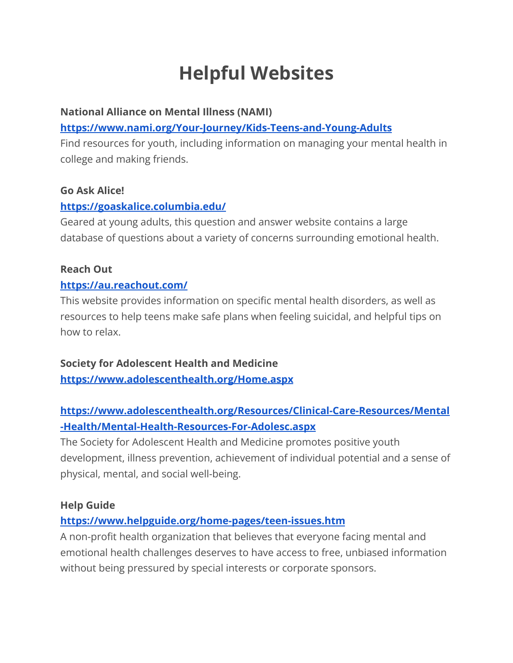# **Helpful Websites**

#### **National Alliance on Mental Illness (NAMI)**

## **<https://www.nami.org/Your-Journey/Kids-Teens-and-Young-Adults>**

Find resources for youth, including information on managing your mental health in college and making friends.

#### **Go Ask Alice!**

#### **<https://goaskalice.columbia.edu/>**

Geared at young adults, this question and answer website contains a large database of questions about a variety of concerns surrounding emotional health.

## **Reach Out**

#### **<https://au.reachout.com/>**

This website provides information on specific mental health disorders, as well as resources to help teens make safe plans when feeling suicidal, and helpful tips on how to relax.

# **Society for Adolescent Health and Medicine <https://www.adolescenthealth.org/Home.aspx>**

# **[https://www.adolescenthealth.org/Resources/Clinical-Care-Resources/Mental](https://www.adolescenthealth.org/Resources/Clinical-Care-Resources/Mental-Health/Mental-Health-Resources-For-Adolesc.aspx) [-Health/Mental-Health-Resources-For-Adolesc.aspx](https://www.adolescenthealth.org/Resources/Clinical-Care-Resources/Mental-Health/Mental-Health-Resources-For-Adolesc.aspx)**

The Society for Adolescent Health and Medicine promotes positive youth development, illness prevention, achievement of individual potential and a sense of physical, mental, and social well-being.

#### **Help Guide**

# **<https://www.helpguide.org/home-pages/teen-issues.htm>**

A non-profit health organization that believes that everyone facing mental and emotional health challenges deserves to have access to free, unbiased information without being pressured by special interests or corporate sponsors.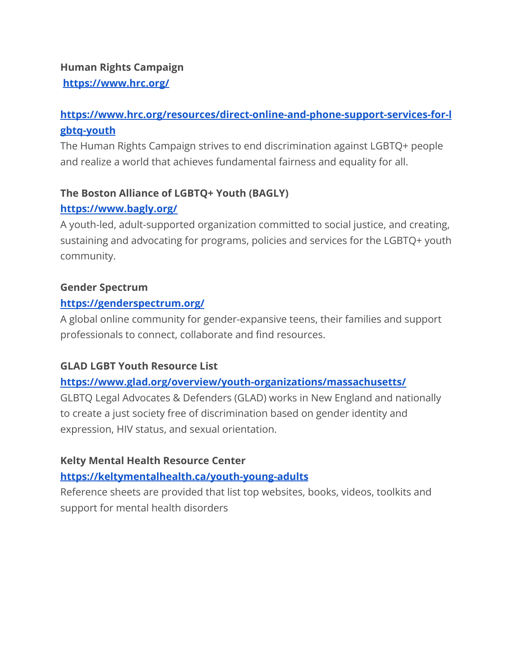## **Human Rights Campaign <https://www.hrc.org/>**

# **[https://www.hrc.org/resources/direct-online-and-phone-support-services-for-l](https://www.hrc.org/resources/direct-online-and-phone-support-services-for-lgbtq-youth) [gbtq-youth](https://www.hrc.org/resources/direct-online-and-phone-support-services-for-lgbtq-youth)**

The Human Rights Campaign strives to end discrimination against LGBTQ+ people and realize a world that achieves fundamental fairness and equality for all.

# **The Boston Alliance of LGBTQ+ Youth (BAGLY)**

# **<https://www.bagly.org/>**

A youth-led, adult-supported organization committed to social justice, and creating, sustaining and advocating for programs, policies and services for the LGBTQ+ youth community.

#### **Gender Spectrum**

## **<https://genderspectrum.org/>**

A global online community for gender-expansive teens, their families and support professionals to connect, collaborate and find resources.

# **GLAD LGBT Youth Resource List**

# **<https://www.glad.org/overview/youth-organizations/massachusetts/>**

GLBTQ Legal Advocates & Defenders (GLAD) works in New England and nationally to create a just society free of discrimination based on gender identity and expression, HIV status, and sexual orientation.

# **Kelty Mental Health Resource Center**

# **<https://keltymentalhealth.ca/youth-young-adults>**

Reference sheets are provided that list top websites, books, videos, toolkits and support for mental health disorders